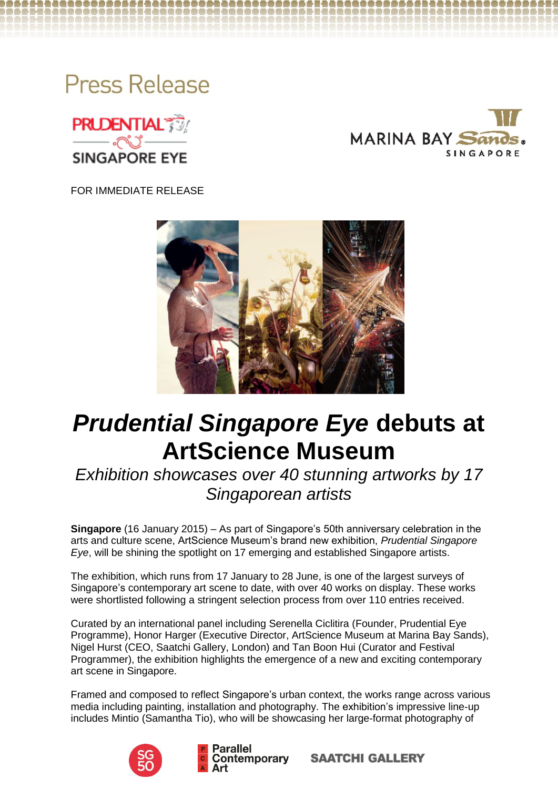





FOR IMMEDIATE RELEASE



# *Prudential Singapore Eye* **debuts at ArtScience Museum**

*Exhibition showcases over 40 stunning artworks by 17 Singaporean artists*

**Singapore** (16 January 2015) – As part of Singapore's 50th anniversary celebration in the arts and culture scene, ArtScience Museum's brand new exhibition, *Prudential Singapore Eye*, will be shining the spotlight on 17 emerging and established Singapore artists.

The exhibition, which runs from 17 January to 28 June, is one of the largest surveys of Singapore's contemporary art scene to date, with over 40 works on display. These works were shortlisted following a stringent selection process from over 110 entries received.

Curated by an international panel including Serenella Ciclitira (Founder, Prudential Eye Programme), Honor Harger (Executive Director, ArtScience Museum at Marina Bay Sands), Nigel Hurst (CEO, Saatchi Gallery, London) and Tan Boon Hui (Curator and Festival Programmer), the exhibition highlights the emergence of a new and exciting contemporary art scene in Singapore.

Framed and composed to reflect Singapore's urban context, the works range across various media including painting, installation and photography. The exhibition's impressive line-up includes Mintio (Samantha Tio), who will be showcasing her large-format photography of



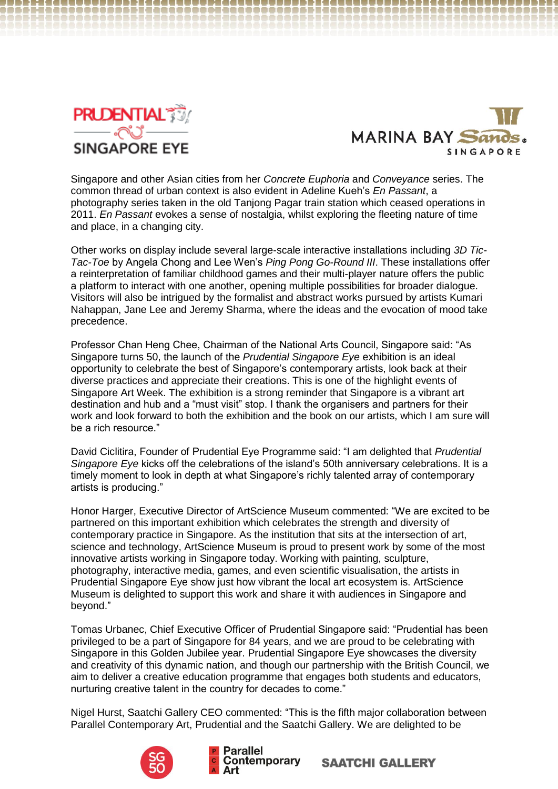



Singapore and other Asian cities from her *Concrete Euphoria* and *Conveyance* series. The common thread of urban context is also evident in Adeline Kueh's *En Passant*, a photography series taken in the old Tanjong Pagar train station which ceased operations in 2011. *En Passant* evokes a sense of nostalgia, whilst exploring the fleeting nature of time and place, in a changing city.

Other works on display include several large-scale interactive installations including *3D Tic-Tac-Toe* by Angela Chong and Lee Wen's *Ping Pong Go-Round III*. These installations offer a reinterpretation of familiar childhood games and their multi-player nature offers the public a platform to interact with one another, opening multiple possibilities for broader dialogue. Visitors will also be intrigued by the formalist and abstract works pursued by artists Kumari Nahappan, Jane Lee and Jeremy Sharma, where the ideas and the evocation of mood take precedence.

Professor Chan Heng Chee, Chairman of the National Arts Council, Singapore said: "As Singapore turns 50, the launch of the *Prudential Singapore Eye* exhibition is an ideal opportunity to celebrate the best of Singapore's contemporary artists, look back at their diverse practices and appreciate their creations. This is one of the highlight events of Singapore Art Week. The exhibition is a strong reminder that Singapore is a vibrant art destination and hub and a "must visit" stop. I thank the organisers and partners for their work and look forward to both the exhibition and the book on our artists, which I am sure will be a rich resource."

David Ciclitira, Founder of Prudential Eye Programme said: "I am delighted that *Prudential Singapore Eye* kicks off the celebrations of the island's 50th anniversary celebrations. It is a timely moment to look in depth at what Singapore's richly talented array of contemporary artists is producing."

Honor Harger, Executive Director of ArtScience Museum commented: "We are excited to be partnered on this important exhibition which celebrates the strength and diversity of contemporary practice in Singapore. As the institution that sits at the intersection of art, science and technology, ArtScience Museum is proud to present work by some of the most innovative artists working in Singapore today. Working with painting, sculpture, photography, interactive media, games, and even scientific visualisation, the artists in Prudential Singapore Eye show just how vibrant the local art ecosystem is. ArtScience Museum is delighted to support this work and share it with audiences in Singapore and beyond."

Tomas Urbanec, Chief Executive Officer of Prudential Singapore said: "Prudential has been privileged to be a part of Singapore for 84 years, and we are proud to be celebrating with Singapore in this Golden Jubilee year. Prudential Singapore Eye showcases the diversity and creativity of this dynamic nation, and though our partnership with the British Council, we aim to deliver a creative education programme that engages both students and educators, nurturing creative talent in the country for decades to come."

Nigel Hurst, Saatchi Gallery CEO commented: "This is the fifth major collaboration between Parallel Contemporary Art, Prudential and the Saatchi Gallery. We are delighted to be



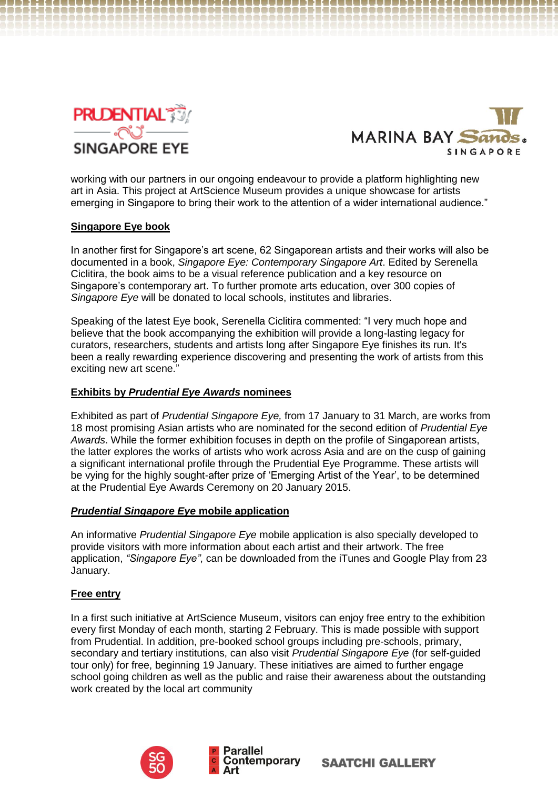



working with our partners in our ongoing endeavour to provide a platform highlighting new art in Asia. This project at ArtScience Museum provides a unique showcase for artists emerging in Singapore to bring their work to the attention of a wider international audience."

# **Singapore Eye book**

In another first for Singapore's art scene, 62 Singaporean artists and their works will also be documented in a book, *Singapore Eye: Contemporary Singapore Art*. Edited by Serenella Ciclitira, the book aims to be a visual reference publication and a key resource on Singapore's contemporary art. To further promote arts education, over 300 copies of *Singapore Eye* will be donated to local schools, institutes and libraries.

Speaking of the latest Eye book, Serenella Ciclitira commented: "I very much hope and believe that the book accompanying the exhibition will provide a long-lasting legacy for curators, researchers, students and artists long after Singapore Eye finishes its run. It's been a really rewarding experience discovering and presenting the work of artists from this exciting new art scene."

# **Exhibits by** *Prudential Eye Awards* **nominees**

Exhibited as part of *Prudential Singapore Eye,* from 17 January to 31 March, are works from 18 most promising Asian artists who are nominated for the second edition of *Prudential Eye Awards*. While the former exhibition focuses in depth on the profile of Singaporean artists, the latter explores the works of artists who work across Asia and are on the cusp of gaining a significant international profile through the Prudential Eye Programme. These artists will be vying for the highly sought-after prize of 'Emerging Artist of the Year', to be determined at the Prudential Eye Awards Ceremony on 20 January 2015.

## *Prudential Singapore Eye* **mobile application**

An informative *Prudential Singapore Eye* mobile application is also specially developed to provide visitors with more information about each artist and their artwork. The free application, *"Singapore Eye"*, can be downloaded from the iTunes and Google Play from 23 January.

## **Free entry**

In a first such initiative at ArtScience Museum, visitors can enjoy free entry to the exhibition every first Monday of each month, starting 2 February. This is made possible with support from Prudential. In addition, pre-booked school groups including pre-schools, primary, secondary and tertiary institutions, can also visit *Prudential Singapore Eye* (for self-guided tour only) for free, beginning 19 January. These initiatives are aimed to further engage school going children as well as the public and raise their awareness about the outstanding work created by the local art community



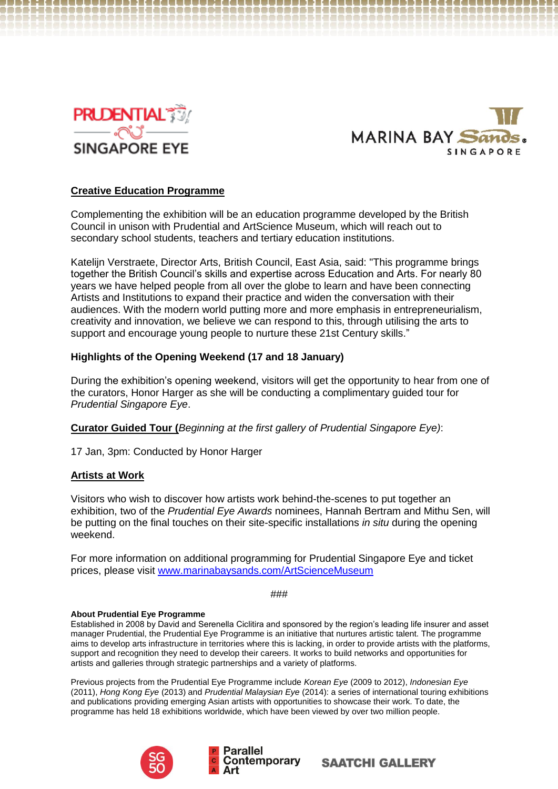



------------------------------

# **Creative Education Programme**

,,,,,,,,,,,,,,,,,,,,,,,,,,,,,,,,,,,

Complementing the exhibition will be an education programme developed by the British Council in unison with Prudential and ArtScience Museum, which will reach out to secondary school students, teachers and tertiary education institutions.

Katelijn Verstraete, Director Arts, British Council, East Asia, said: "This programme brings together the British Council's skills and expertise across Education and Arts. For nearly 80 years we have helped people from all over the globe to learn and have been connecting Artists and Institutions to expand their practice and widen the conversation with their audiences. With the modern world putting more and more emphasis in entrepreneurialism, creativity and innovation, we believe we can respond to this, through utilising the arts to support and encourage young people to nurture these 21st Century skills."

# **Highlights of the Opening Weekend (17 and 18 January)**

During the exhibition's opening weekend, visitors will get the opportunity to hear from one of the curators, Honor Harger as she will be conducting a complimentary guided tour for *Prudential Singapore Eye*.

**Curator Guided Tour (***Beginning at the first gallery of Prudential Singapore Eye)*:

17 Jan, 3pm: Conducted by Honor Harger

## **Artists at Work**

Visitors who wish to discover how artists work behind-the-scenes to put together an exhibition, two of the *Prudential Eye Awards* nominees, Hannah Bertram and Mithu Sen, will be putting on the final touches on their site-specific installations *in situ* during the opening weekend.

For more information on additional programming for Prudential Singapore Eye and ticket prices, please visit [www.marinabaysands.com/ArtScienceMuseum](http://www.marinabaysands.com/ArtScienceMuseum)

*###*

## **About Prudential Eye Programme**

Established in 2008 by David and Serenella Ciclitira and sponsored by the region's leading life insurer and asset manager Prudential, the Prudential Eye Programme is an initiative that nurtures artistic talent. The programme aims to develop arts infrastructure in territories where this is lacking, in order to provide artists with the platforms, support and recognition they need to develop their careers. It works to build networks and opportunities for artists and galleries through strategic partnerships and a variety of platforms.

Previous projects from the Prudential Eye Programme include *Korean Eye* (2009 to 2012), *Indonesian Eye*  (2011), *Hong Kong Eye* (2013) and *Prudential Malaysian Eye* (2014): a series of international touring exhibitions and publications providing emerging Asian artists with opportunities to showcase their work. To date, the programme has held 18 exhibitions worldwide, which have been viewed by over two million people.



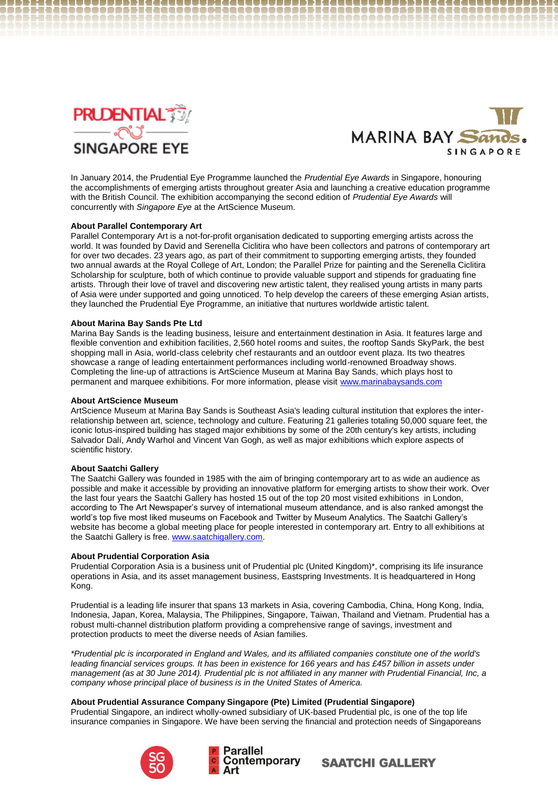



In January 2014, the Prudential Eye Programme launched the *Prudential Eye Awards* in Singapore, honouring the accomplishments of emerging artists throughout greater Asia and launching a creative education programme with the British Council. The exhibition accompanying the second edition of *Prudential Eye Awards* will concurrently with *Singapore Eye* at the ArtScience Museum.

## **About Parallel Contemporary Art**

Parallel Contemporary Art is a not-for-profit organisation dedicated to supporting emerging artists across the world. It was founded by David and Serenella Ciclitira who have been collectors and patrons of contemporary art for over two decades. 23 years ago, as part of their commitment to supporting emerging artists, they founded two annual awards at the Royal College of Art, London; the Parallel Prize for painting and the Serenella Ciclitira Scholarship for sculpture, both of which continue to provide valuable support and stipends for graduating fine artists. Through their love of travel and discovering new artistic talent, they realised young artists in many parts of Asia were under supported and going unnoticed. To help develop the careers of these emerging Asian artists, they launched the Prudential Eye Programme, an initiative that nurtures worldwide artistic talent.

#### **About Marina Bay Sands Pte Ltd**

Marina Bay Sands is the leading business, leisure and entertainment destination in Asia. It features large and flexible convention and exhibition facilities, 2,560 hotel rooms and suites, the rooftop Sands SkyPark, the best shopping mall in Asia, world-class celebrity chef restaurants and an outdoor event plaza. Its two theatres showcase a range of leading entertainment performances including world-renowned Broadway shows. Completing the line-up of attractions is ArtScience Museum at Marina Bay Sands, which plays host to permanent and marquee exhibitions. For more information, please visit [www.marinabaysands.com](http://www.marinabaysands.com/)

#### **About ArtScience Museum**

ArtScience Museum at Marina Bay Sands is Southeast Asia's leading cultural institution that explores the interrelationship between art, science, technology and culture. Featuring 21 galleries totaling 50,000 square feet, the iconic lotus-inspired building has staged major exhibitions by some of the 20th century's key artists, including Salvador Dalí, Andy Warhol and Vincent Van Gogh, as well as major exhibitions which explore aspects of scientific history.

#### **About Saatchi Gallery**

The Saatchi Gallery was founded in 1985 with the aim of bringing contemporary art to as wide an audience as possible and make it accessible by providing an innovative platform for emerging artists to show their work. Over the last four years the Saatchi Gallery has hosted 15 out of the top 20 most visited exhibitions in London, according to The Art Newspaper's survey of international museum attendance, and is also ranked amongst the world's top five most liked museums on Facebook and Twitter by Museum Analytics. The Saatchi Gallery's website has become a global meeting place for people interested in contemporary art. Entry to all exhibitions at the Saatchi Gallery is free[. www.saatchigallery.com](http://www.saatchigallery.com/).

#### **About Prudential Corporation Asia**

Prudential Corporation Asia is a business unit of Prudential plc (United Kingdom)\*, comprising its life insurance operations in Asia, and its asset management business, Eastspring Investments. It is headquartered in Hong Kong.

Prudential is a leading life insurer that spans 13 markets in Asia, covering Cambodia, China, Hong Kong, India, Indonesia, Japan, Korea, Malaysia, The Philippines, Singapore, Taiwan, Thailand and Vietnam. Prudential has a robust multi-channel distribution platform providing a comprehensive range of savings, investment and protection products to meet the diverse needs of Asian families.

*\*Prudential plc is incorporated in England and Wales, and its affiliated companies constitute one of the world's leading financial services groups. It has been in existence for 166 years and has £457 billion in assets under management (as at 30 June 2014). Prudential plc is not affiliated in any manner with Prudential Financial, Inc, a company whose principal place of business is in the United States of America.*

#### **About Prudential Assurance Company Singapore (Pte) Limited (Prudential Singapore)**

Prudential Singapore, an indirect wholly-owned subsidiary of UK-based Prudential plc, is one of the top life insurance companies in Singapore. We have been serving the financial and protection needs of Singaporeans